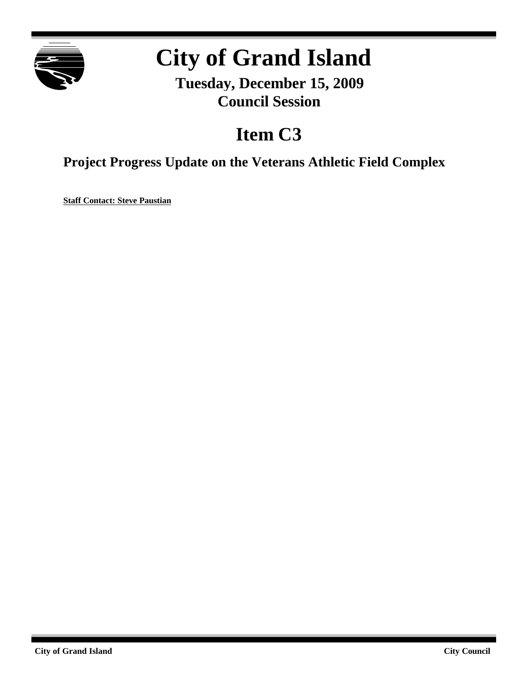

# **City of Grand Island**

**Tuesday, December 15, 2009 Council Session**

## **Item C3**

**Project Progress Update on the Veterans Athletic Field Complex**

**Staff Contact: Steve Paustian**